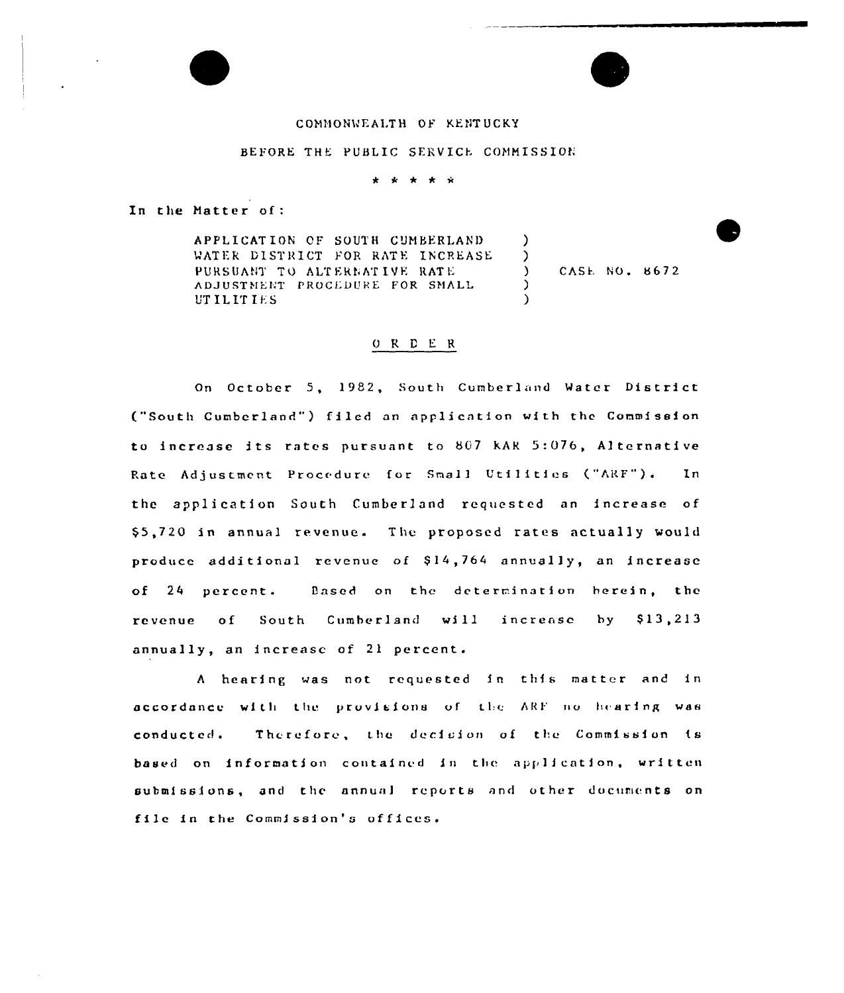# COMMONWEALTH OF KENTUCKY

#### BEFORE THE PUBLIC SERVICE COMMISSION

\* \* \* \* \*

In the Matter of:

APPLICATION OF SOUTH CUMBERLAND  $\lambda$ WATER DISTRICT FOR RATE INCREASE  $\mathcal{L}$ CASE NO. 8672 PURSUANT TO ALTERNATIVE RATE  $\lambda$ ADJUSTMENT PROCEDURE FOR SMALL  $\lambda$ **UTILITIES**  $\lambda$ 

# ORDER

On October 5, 1982, South Cumberland Water District ("South Cumberland") filed an application with the Commission to increase its rates pursuant to 807 KAR 5:076, Alternative Rate Adjustment Procedure for Small Utilities ("ARF").  $In$ the application South Cumberland requested an increase of \$5,720 in annual revenue. The proposed rates actually would produce additional revenue of \$14,764 annually, an increase of 24 percent. Based on the determination herein, the revenue of South Cumberland will increase by \$13,213 annually, an increase of 21 percent.

A hearing was not requested in this matter and in accordance with the provisions of the ARF no hearing was Therefore, the decision of the Commission is conducted. based on information contained in the application, written submissions, and the annual reports and other documents on file in the Commission's offices.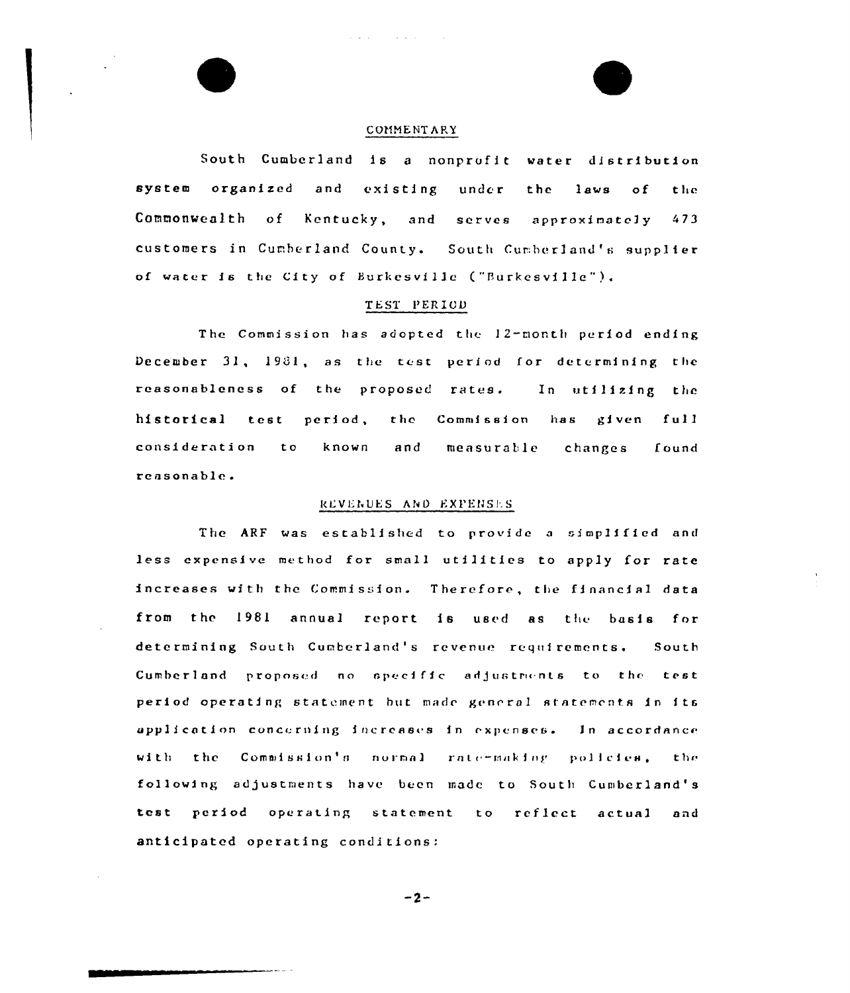# COMMENTARY

South Cumberland is a nonprofit water distribution system organized and existing under the laws of the Commonwealth of Kentucky, and serves approximately 473 customers in Cumberland County. South Cumberland's supplier of water is the City of Burkesville ("Burkesville").

# TEST PERIOD

The Commission has adopted the 12-month period ending December 31, 1981, as the test period for determining the reasonableness of the proposed rates. In utilizing the historical test period, the Commission has given full consideration known  $t<sub>o</sub>$ and measurable changes found reasonable.

#### REVENUES AND EXPENSES

The ARF was established to provide a simplified and less expensive method for small utilities to apply for rate increases with the Commission. Therefore, the financial data from the 1981 annual report is used as the basis for determining South Cumberland's revenue requirements. South Cumberland proposed no specific adjustments to the test period operating statement but made general statements in its application concerning increases in expenses. In accordance with the Commission's normal rate-making policies, the following adjustments have been made to South Cumberland's test period operating statement to reflect actual and anticipated operating conditions:

 $-2-$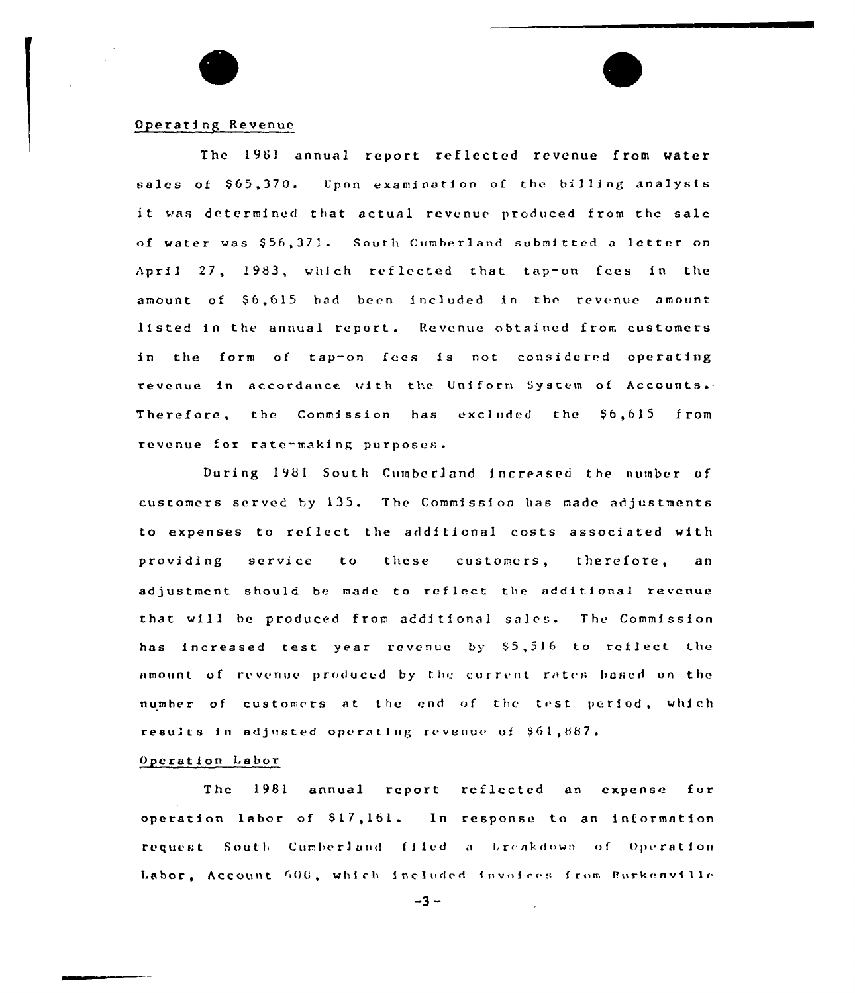## Operating Revenue

The 1981 annual report reflected revenue from water sales of \$65,370. Upon examination of the billing analysis it was determined that actual revenue produced from the sale of water was \$56,371. South Cumberland submitted a letter on April 27, 1983, which reflected that tap-on fees in the amount of \$6,615 had been included in the revenue amount listed in the annual report. Revenue obtained from customers in the form of tap-on fees is not considered operating revenue in accordance with the Uniform System of Accounts. Therefore, the Commission has excluded the \$6,615 from revenue for rate-making purposes.

During 1981 South Cumberland increased the number of customers served by 135. The Commission has made adjustments to expenses to reflect the additional costs associated with service providing  $t<sub>o</sub>$ these customers, therefore, a n adjustment should be made to reflect the additional revenue that will be produced from additional sales. The Commission has increased test year revenue by \$5,516 to reflect the amount of revenue produced by the current rates based on the number of customers at the end of the test period, which results in adjusted operating revenue of \$61,887.

# Operation Labor

The 1981 annual report reflected an expense for operation labor of \$17,161. In response to an information request South Cumberland filed a breakdown of Operation Labor, Account 600, which included invoices from Burkenville

 $-3 -$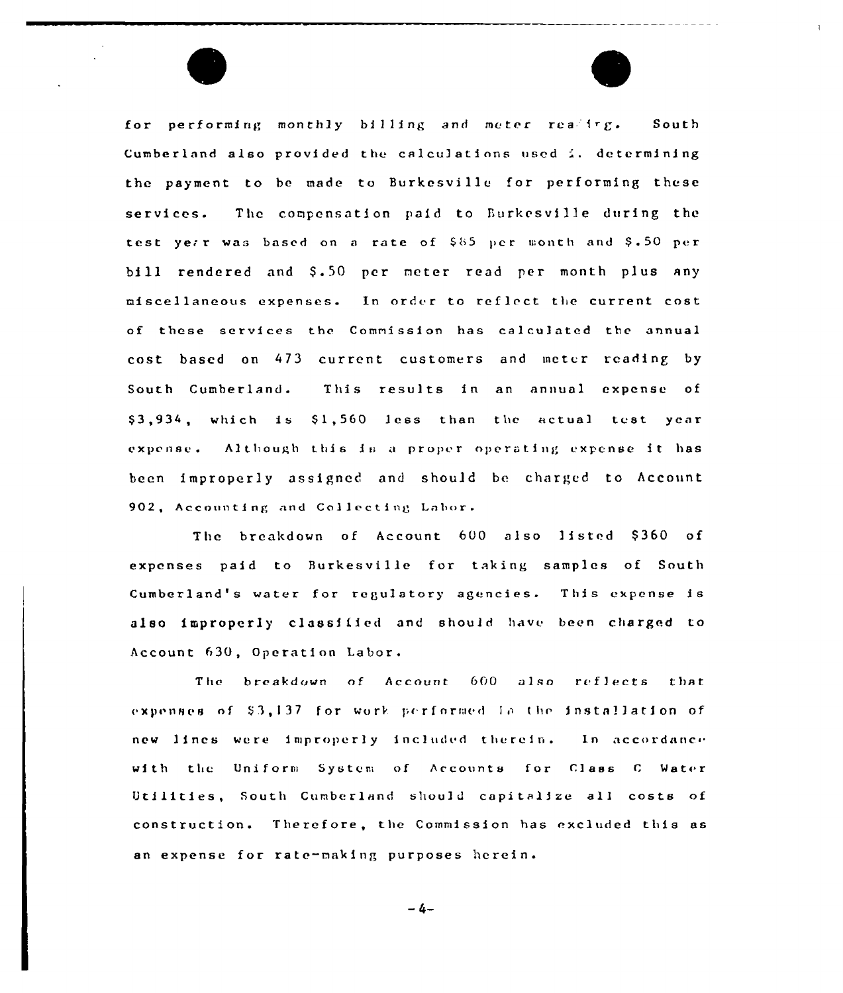for performing monthly billing and meter reading. South Cumberland also provided the calculations used  $\lambda$ , determining the payment to be made to Burkesville for performing these services. The compensation paid to Burkesville during the test yerr was based on a rate of  $$65$  per month and  $$.50$  per bill rendered and \$.50 pcr meter read per month plus any miscellaneous expenses. In order to reflect the current cost of these services the Commission has calculated the annual cost based on 473 current customers and meter reading by South Cumberland. This results in an annual expense of \$3,934, which is \$1,560 less than the actual test year expense. Although this is a proper operating expense it has been improperly assigned and should be charged to Account 902, Accounting and Co11ecting Labor.

The breakdown of Account 600 also listed \$360 of expenses paid to Burkesville for taking samples of South Cumberland's water for regulatory agencies. This expense is also improperly classified and shou1d have been charged to Account 630, Operation Labor.

The breakdown of Account 600 also reflects that expenses of \$3,137 for work performed in the installation of new lines were improperly included therein. In accordance with the Uniform System of Accounts for Class C Water litilities, South Cumberland shou)d capitalize al1 costs of constructions Therefore, the Commission has excluded this as an expense for rate-making purposes herein.

 $-4-$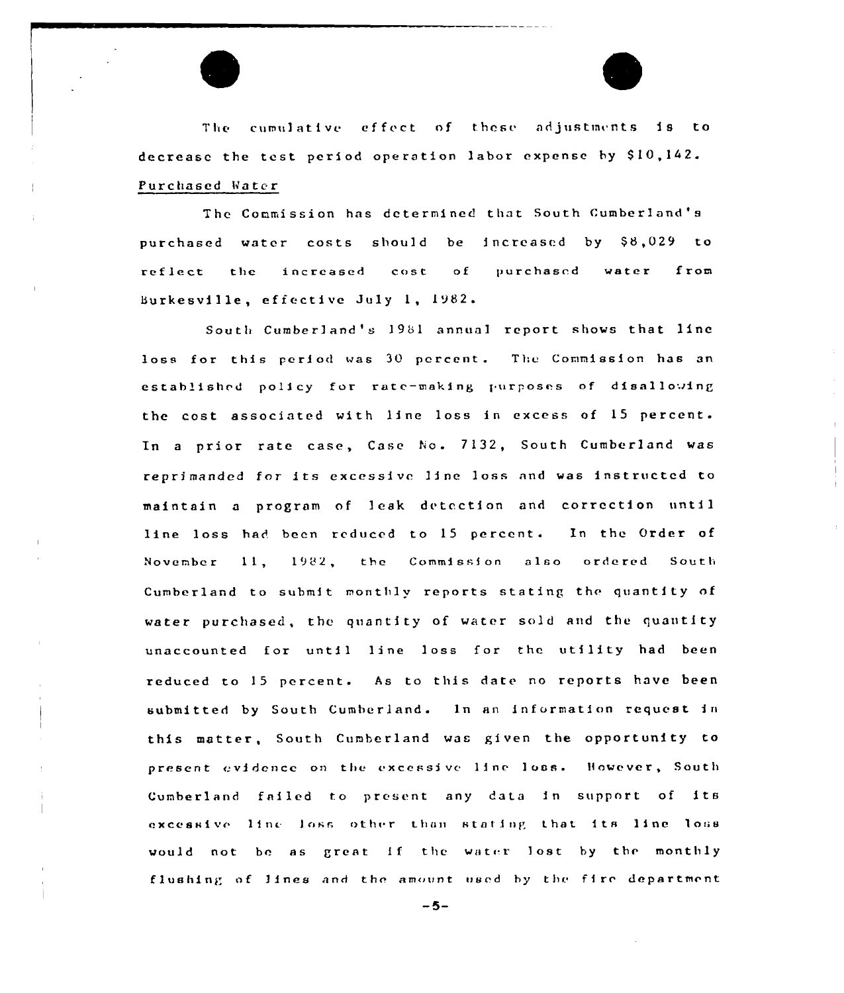The cumulative effect of these adjustments is to decrease the test period operation labor expense by \$10,142. Purchased Water

The Commission has determined that South Cumberland's purchased water costs should be increased by \$8,029 to purchased water from increased  $cost$  of reflect the Burkesville, effective July 1, 1982.

South Cumberland's 1981 annual report shows that line loss for this period was 30 percent. The Commission has an established policy for rate-making purposes of disallowing the cost associated with line loss in excess of 15 percent. In a prior rate case, Case No. 7132, South Cumberland was reprimanded for its excessive line loss and was instructed to maintain a program of leak detection and correction until line loss had been reduced to 15 percent. In the Order of November 11, 1982, the Commission also ordered South Cumberland to submit monthly reports stating the quantity of water purchased, the quantity of water sold and the quantity unaccounted for until line loss for the utility had been reduced to 15 percent. As to this date no reports have been submitted by South Cumberland. In an information request in this matter, South Cumberland was given the opportunity to present evidence on the excessive line loss. However, South Cumberland failed to present any data in support of its excessive line loss other than stating that its line loss would not be as great if the water lost by the monthly flushing of lines and the amount used by the fire department

 $-5-$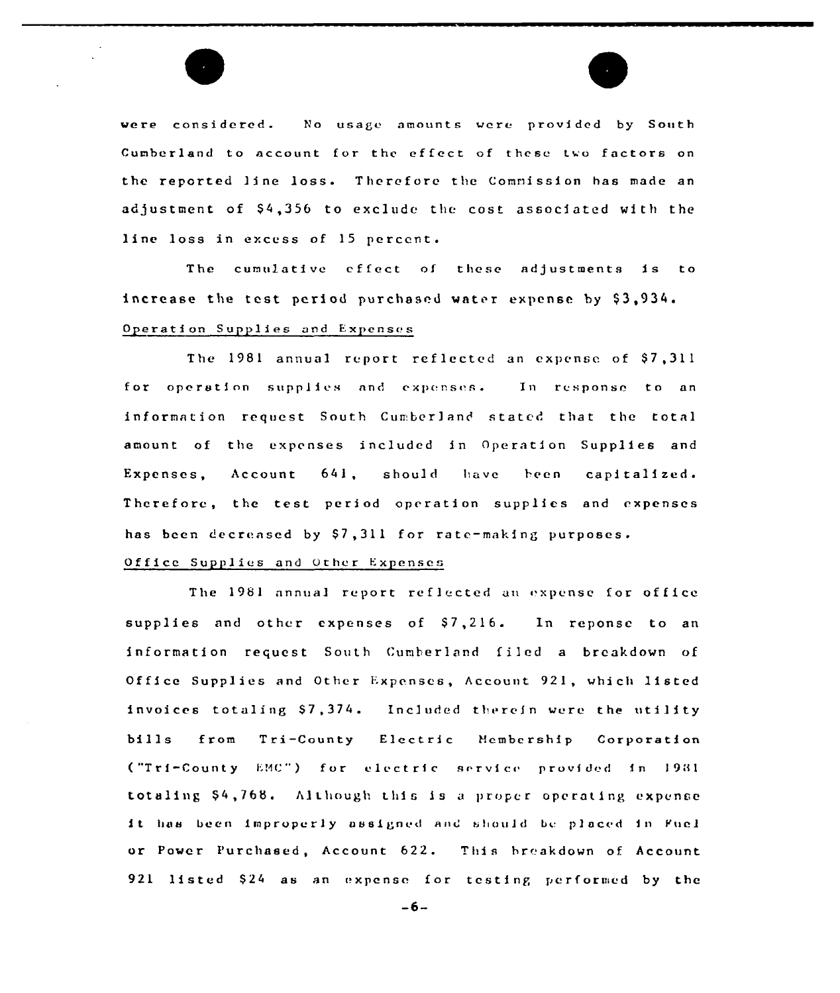

The cumulatfvc effect of these adjustments is to increase the test period purchased water expense by \$3,934. Operation Supplies and Expenses

The 1981 annual report reflected an expense of \$7,311 for operation supplies and expenses. In response to an information request South Cumberland stated that the total amount of the expenses included in Operation Supplies and Expenses, Account 641, should have been capitalized. Therefore, the test period operation supplies and expenses has been decreased by  $$7,311$  for rate-making purposes.

# Office Supplies and other Expenses

The 1981 annual report reflected an expense for office supplies and other expenses of  $$7,216$ . In reponse to an information request South Cumberland filed a breakdown of Office Supplies and Other Expenses, Account 921, which listed invoices totaling \$7,374. Included therein were the utility bills from Tri-County Electric Hcmbership Corporatfon ("Tri-County EMC") for electric service provided in 1981 totaling \$4,768. Although this is a proper operating expense it has been improperly assigned and should be placed in Fuel or Power Purchased, Account 622. This breakdown of Account 921 Iisted \$24 as an expense for testing performed by the

 $-6-$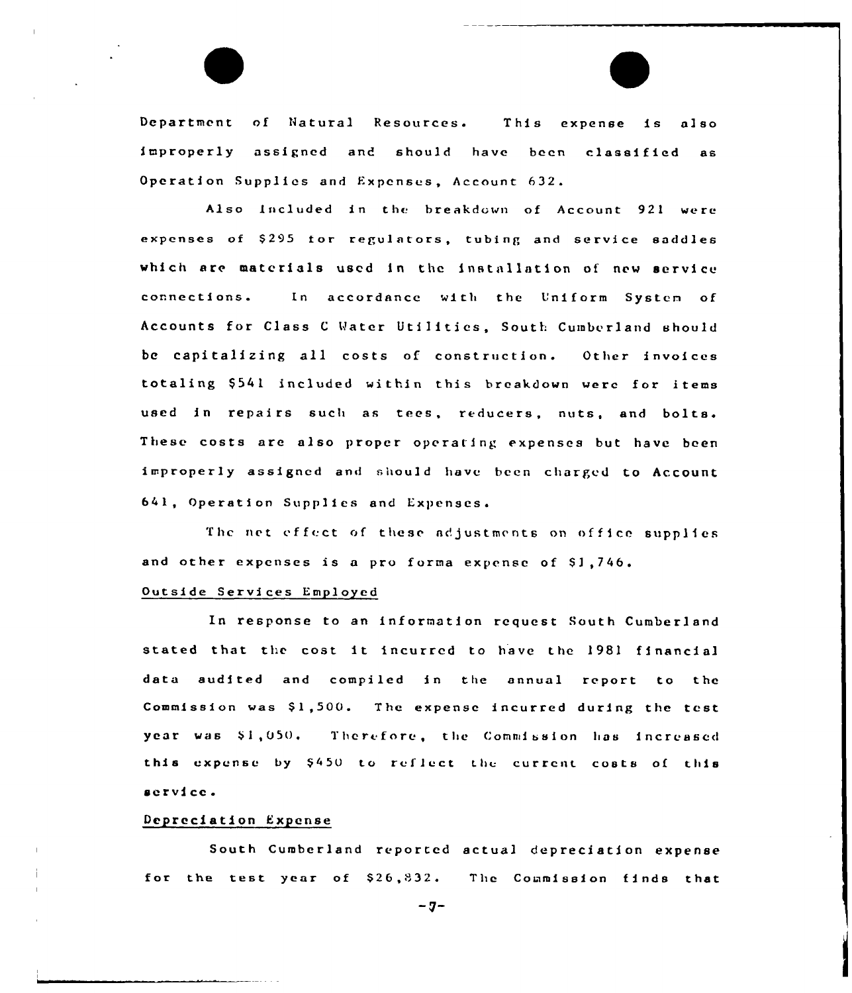Department of Natural Resources. This expense is also improperly assigned and should have been classified as Operation Supplies and Expenses, Account 632.

Also Included in the breakdown of Account 921 were expenses of \$295 for regulators, tubing and service saddles which are materials used in the installation of new service connections. In accordance with the Uniform System of Accounts for Class C Water Utilities, South Cumberland should be capitalizing all costs of construction. Other invoices totaling \$541 included within this breakdown were for items used in repairs such as tees, reducers, nuts, and bolts. These costs are also proper operating expenses but have been improperly assigned and should have been charged to Account 641, Operation Supplies and Expenses.

The net effect of these adjustments on office supplies and other expenses is a pro forma expense of \$1,746.

#### Outside Services Employed

In response to an information request South Cumberland stated that the cost it incurred to have the 1981 financial data audited and compiled in the annual report to the Commission was \$1,500. The expense incurred during the test vear was \$1,050. Therefore, the Commission has increased this expense by \$450 to reflect the current costs of this service.

#### Depreciation Expense

South Cumberland reported actual depreciation expense for the test year of  $$26,832$ . The Commission finds that

 $-7-$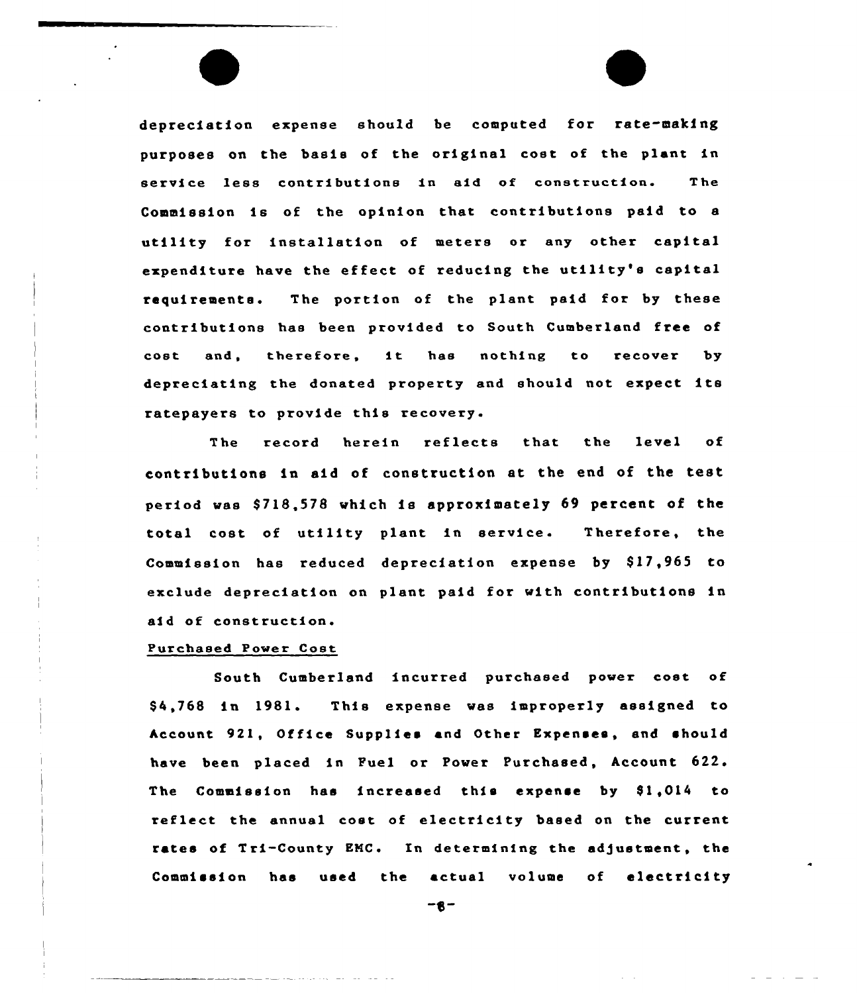depreciation expense should be computed for rate-making purposes on the basis of the original cost of the plant in service less contributions in aid of construction. The Commission is of the opinion that contributions paid to <sup>a</sup> utility for installation of meters or any other capital expenditure have the effect of reducing the utility's capital requirements. The portion of the plant paid for by these contributions has been provided to South Cumberland free of cost and, therefore, it has nothing to recover by depreciating the donated property and should not expect its ratepayers to provide this recovery.

The record herein reflects that the level of contributions in aid of construction at the end of the test period was \$718,578 which is approximately 69 percent of the total cost of utility plant in service. Therefore, the Commission has reduced depreciation expense by \$17,965 to exclude depreciation on plant paid for with contributions in aid of construction.

## Purchased Power Cast

South Cumberland incurred purchased power cost of \$ 4,768 in 1981. This expense was improperly assigned to Account 921, Office Supplies and Other Expenses, and should have been placed in Puel or Power Purchased, Account 622. The Commission has increased this expense by \$1,014 to reflect the annual cost of electricity based on the current rates of Tri-County EMC. In determining the adjustment, the Commission has used the actual volume of electricity

-8-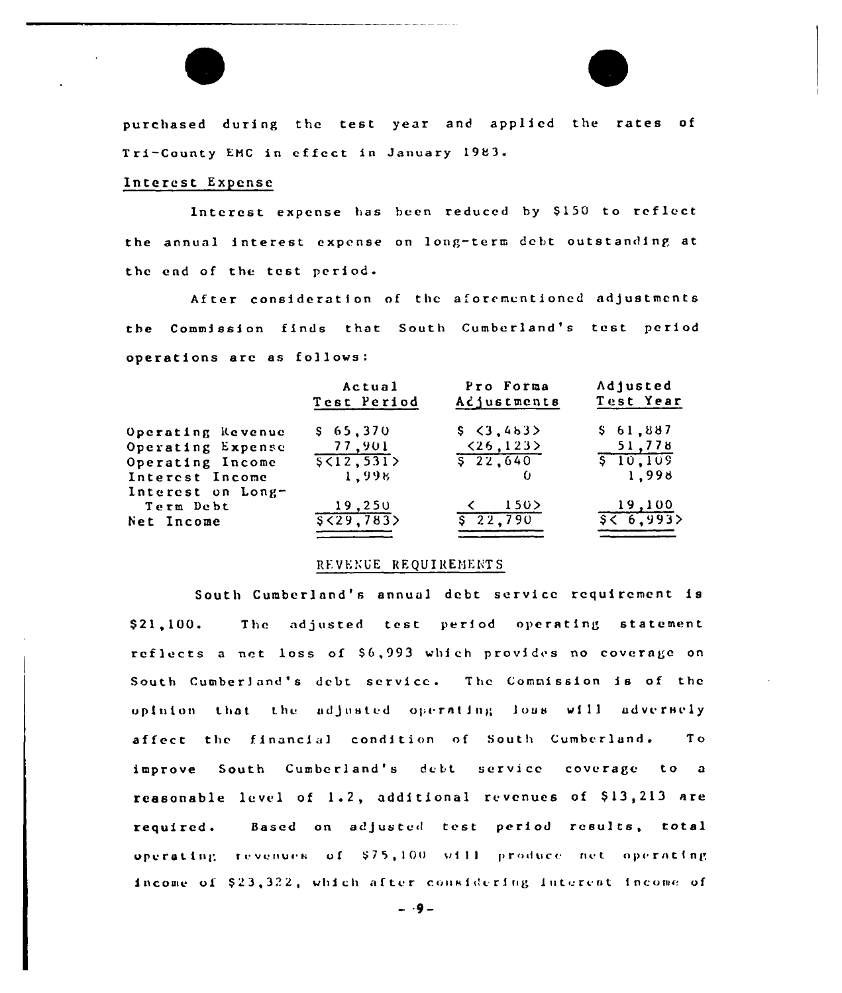

# Interest Expense

Interest expense has been reduced by \$150 to reflect the annual interest expense on long-term debt outstanding at the end of the test period.

After consideration of the aforementioned adjustments the Commission finds that South Cumberland's test period operations are as follows:

|                   | Actual       | Pro Forma                 | Adjusted      |  |  |
|-------------------|--------------|---------------------------|---------------|--|--|
|                   | Test Period  | Acjustments               | Test Year     |  |  |
| Operating Revenue | \$65,370     | \$3,4b3>                  | \$61,887      |  |  |
| Operating Expense | 77,901       | $\langle 26, 123 \rangle$ | 51,778        |  |  |
| Operating Income  | \$ < 12, 531 | 5, 22, 640                | $5 - 10, 105$ |  |  |
| Interest Income   | 1,998        |                           | 1,998         |  |  |
| Interest on Long- |              |                           |               |  |  |
| Term Debt         | 19,250       | 150                       | 19,100        |  |  |
| Net Income        | 5529,783     | $\sqrt{22,790}$           | 56.993        |  |  |
|                   |              |                           |               |  |  |

# REVENUE REQUIREMENTS

South Cumberland's annual debt service requirement is The adjusted test period operating statement  $$21.100.$ reflects a net loss of \$6,993 which provides no coverage on South Cumberland's debt service. The Commission is of the opinion that the adjusted operating loss will adversely affect the financial condition of South Cumberland. T o improve South Cumberland's debt service coverage to a reasonable level of 1.2, additional revenues of \$13,213 are Based on adjusted test period results, total required. operating revenues of \$75,100 will produce net operating income of \$23,322, which after considering interest income of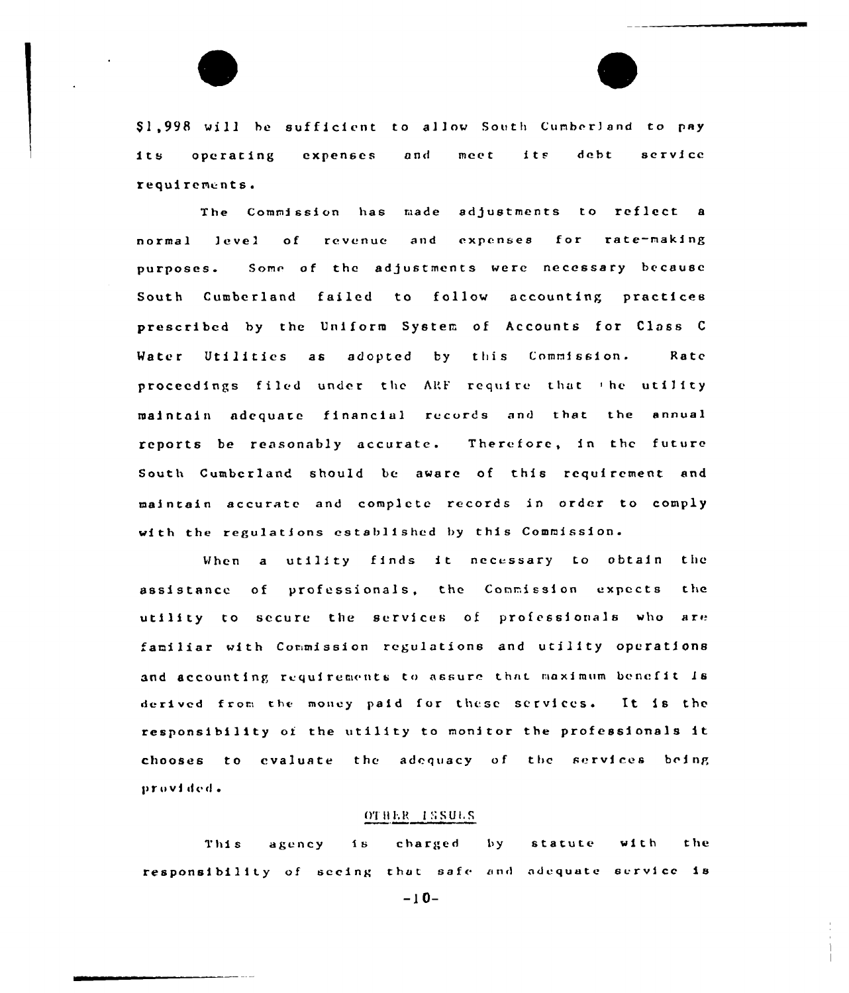\$1,998 will be sufficient to allow South Cumberland to pay its debt service its. operating expenses and meet requirements.

The Commission has made adjustments to reflect a and expenses for rate-making normal level of revenue purposes. Some of the adjustments were necessary because South Cumberland failed to follow accounting practices prescribed by the Uniform System of Accounts for Class C Water Utilities as adopted by this Commission. Rate proceedings filed under the ARF require that the utility maintain adequate financial records and that the annual reports be reasonably accurate. Therefore, in the future South Cumberland should be aware of this requirement and maintain accurate and complete records in order to comply with the regulations established by this Commission.

When a utility finds it necessary to obtain the assistance of professionals, the Commission expects the utility to secure the services of professionals who are familiar with Commission regulations and utility operations and accounting requirements to assure that maximum benefit is derived from the money paid for these services. It is the responsibility of the utility to monitor the professionals it chooses to cvaluate the adequacy of the services being provided.

# OTHER ISSUES

charged  $|$  by  $w$ ith **the**  $1B$ statute This agency responsibility of secing that safe and adequate service is

 $-10-$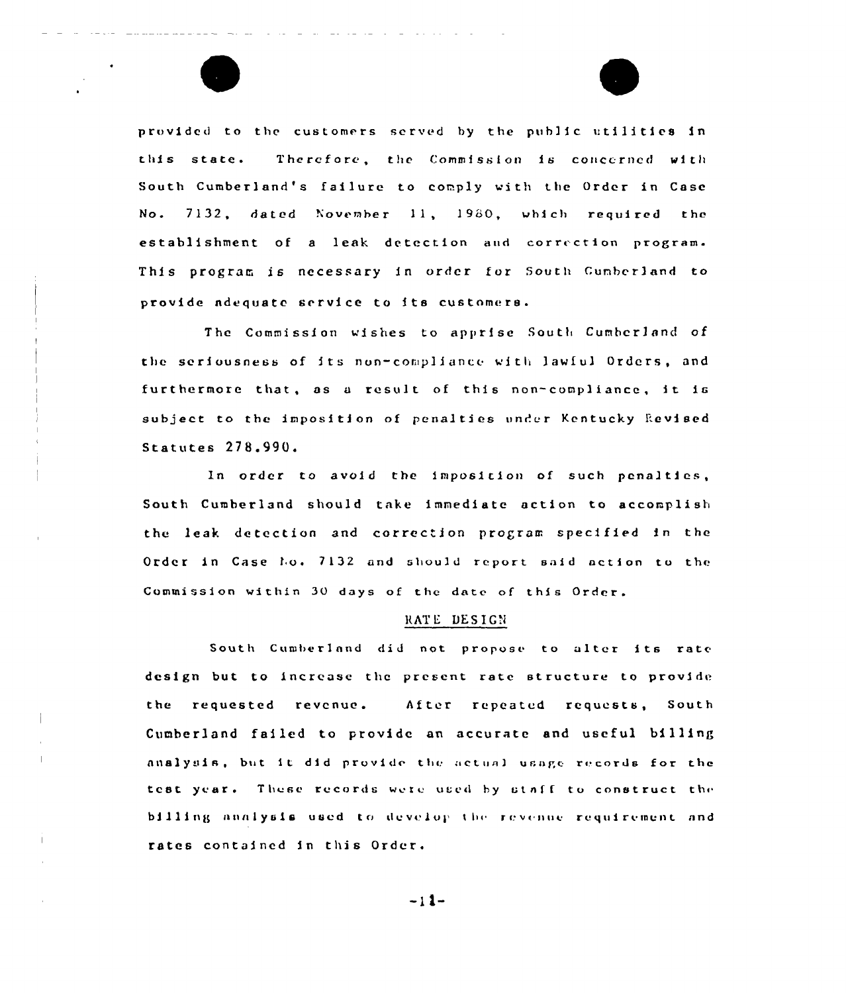

 $\mathbf{I}$ 

 $\mathbb T$ 



provided to the customers served by the public utilities in this state. Therefore, the Commission is concerned with South Cumberland's failure to comply with the Order in Case No. 7132, dated November 11, 1980, which required the establishment of a leak detection and correction program. This program is necessary in order for South Cumberland to provide ndequatc service to its customers.

The Commission wishes to apprise South Cumberland of the seriousness of its non-compliance with lawful Orders, and furthermore that, as <sup>a</sup> result of this non-compliance, it iG subject to the imposition of penalties under Kentucky Revised Statutes 278.990.

In order to avoid the imposition of such penalties, South Cumberland should take imnediate action to accomplish thc leak detection and correc ion program specified in the Order in Case ho. 7132 and should report said action to the Commission within 30 days of the date of this Order.

#### RATE DESIGN

South Cumberland did not propose to alter <mark>its rat</mark>e design but to increase thc present rate structure to provide the requested revenue. After repeated requests, South Cumberland failed to provide an accurate and useful billing analysis, but it did provide the actual usage records for the test year. These records were used by staff to construct the billing analysis used to develop the revenue requirement and rates contained in this Order.

 $-11-$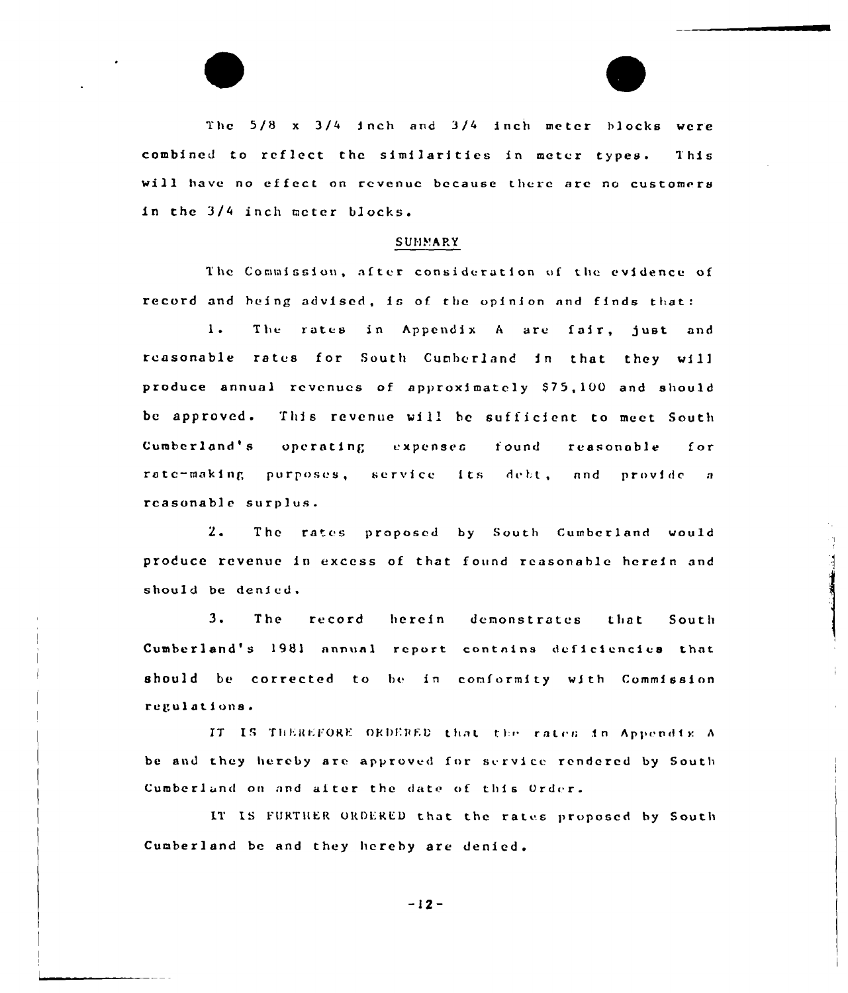The 5/8 x 3/4 inch and 3/4 inch meter blocks were combined to reflect the similarities in meter types. This will have no effect on revenue because there are no customers in the 3/4 inch meter blocks.

#### SUMMARY

The Commission, after consideration of the evidence of record and being advised, is of the opinion and finds that:

 $1.$ The rates in Appendix A are fair, just and reasonable rates for South Cumberland in that they will produce annual revenues of approximately \$75,100 and should be approved. This revenue will be sufficient to meet South Cumberland's operating expenses found reasonable for rate-making purposes, service its debt, and provide a reasonable surplus.

 $2.$ The rates proposed by South Cumberland would produce revenue in excess of that found reasonable herein and should be denied.

 $3.$ The record herein demonstrates that South Cumberland's 1981 annual report contains deficiencies that should be corrected to be in comformity with Commission regulations.

IT IS THEREFORE ORDERED that the rates in Appendix A be and they hereby are approved for service rendered by South Cumberland on and after the date of this Order.

IT IS FURTHER ORDERED that the rates proposed by South Cumberland be and they hereby are denied.

 $-12-$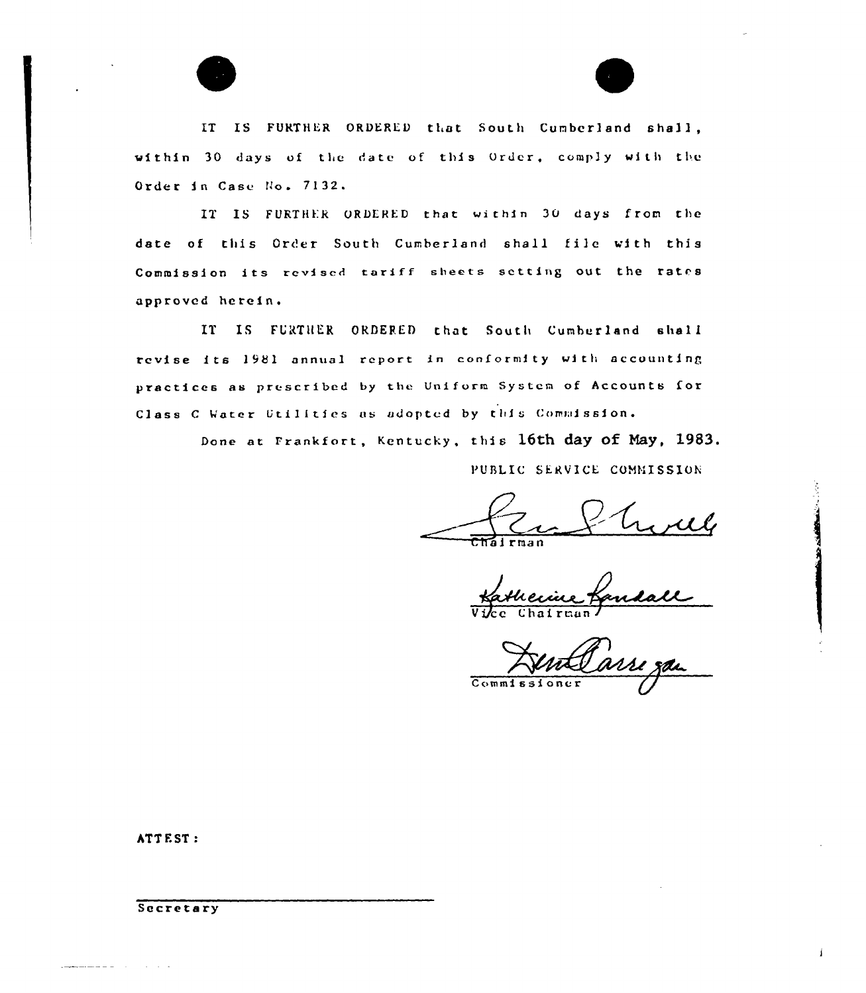

IT IS FURTHER ORDERED that South Cumberland shall, within 30 days of the date of this Order, comply with the Order in Case No. 7132.

IT IS FURTHER ORDERED that within 30 days from the date of this Order South Cumberland shall file with this Commission its revised tariff sheets setting out the rates approved herein.

IT IS FURTHER ORDERED that South Cumberland shall revise its 1981 annual report in conformity with accounting practices as prescribed by the Uniform System of Accounts for Class C Water Utilities as adopted by this Commission.

Done at Frankfort, Kentucky, this 16th day of May, 1983.

PUBLIC SERVICE COMMISSION

Karllexice B

Commissioner

ATT EST:

Secretary

المناسب والمستعمل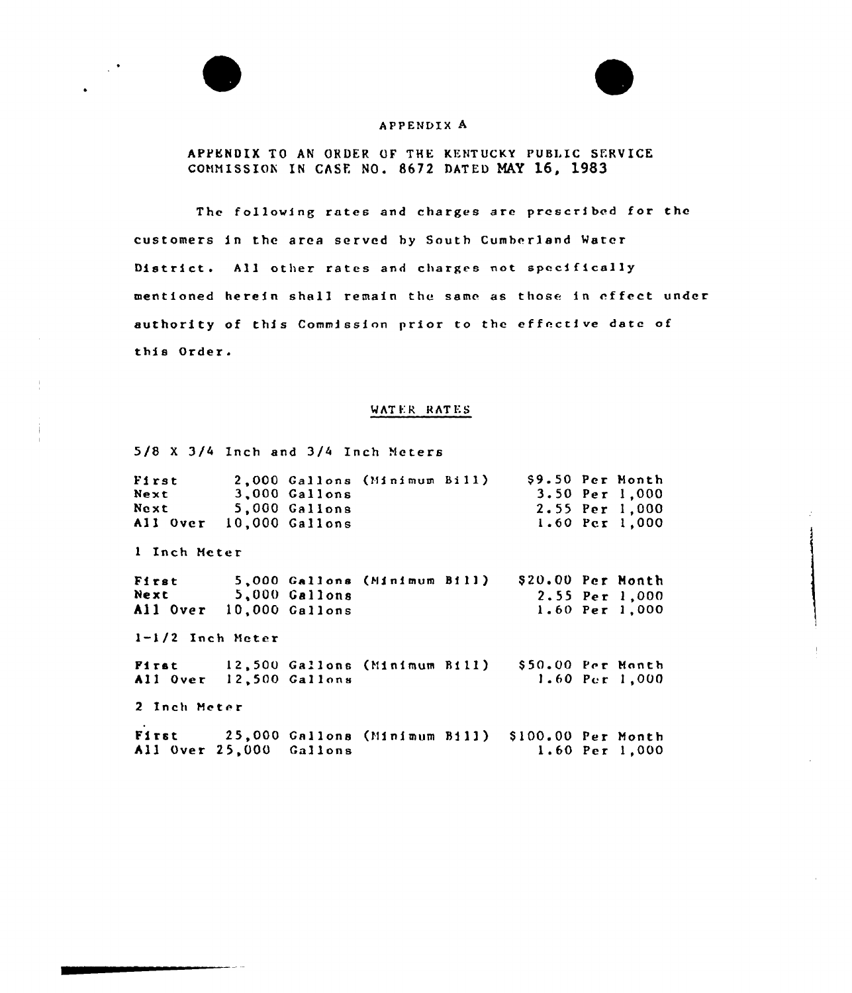

 $\ddot{\phantom{a}}$ 



# APPENDIX A

APPENDIX TO AN ORDER OF THE KENTUCKY PUBLIC SERVICE COMMISSION IN GASP. NO. 8672 DATED MAY 16, 1983

The following rates and charges are prescribed for the customers in the area served hy South Cumberland Mater District. All other rates and charges not specifically mentioned herein shall remain the same as those in effect under authority of this Commission prior to the effective date of this Order.

# WATER RATES

5/8 <sup>X</sup> 3/4 Inch and 3/4 Inch Meters

| First<br>Next<br>Next<br>All Over | 3,000 Gallons<br>5,000 Gallons<br>10,000 Gallons | 2,000 Gallons (Minimum Bill) |                   | \$9.50 Per Month<br>3.50 Per 1,000<br>2.55 Per 1,000<br>1.60 Per 1,000 |
|-----------------------------------|--------------------------------------------------|------------------------------|-------------------|------------------------------------------------------------------------|
| 1 Inch Meter                      |                                                  |                              |                   |                                                                        |
| First<br>Next<br>All Over         | 5,000 Gallons<br>10,000 Gallons                  | 5,000 Gallons (Minimum Bill) | \$20.00 Per Month | $2.55$ Per 1,000<br>1.60 Per 1,000                                     |
| 1-1/2 Inch Meter                  |                                                  |                              |                   |                                                                        |

Pi rst All Over 12,500 Gallon 12,500 Gallons (Minimum Bill) 550.00 Per Month 1.60 Per 1,000

2 Inch Meter

Fi rat 25, 000 Ga <sup>1</sup> <sup>1</sup> ons (Mi <sup>n</sup> <sup>i</sup> mum Bi 11 ) <sup>5</sup> 100.00 Per Month 1.60 Per 1"000All Over 25,000 Gallons